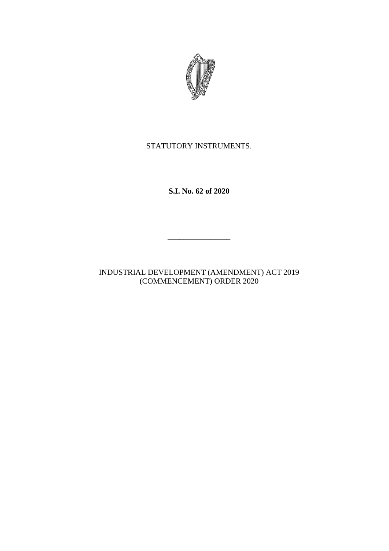

## STATUTORY INSTRUMENTS.

**S.I. No. 62 of 2020**

INDUSTRIAL DEVELOPMENT (AMENDMENT) ACT 2019 (COMMENCEMENT) ORDER 2020

 $\overline{\phantom{a}}$  , where  $\overline{\phantom{a}}$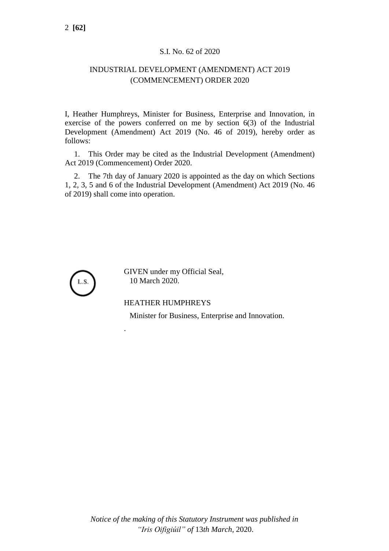## S.I. No. 62 of 2020

## INDUSTRIAL DEVELOPMENT (AMENDMENT) ACT 2019 (COMMENCEMENT) ORDER 2020

I, Heather Humphreys, Minister for Business, Enterprise and Innovation, in exercise of the powers conferred on me by section 6(3) of the Industrial Development (Amendment) Act 2019 (No. 46 of 2019), hereby order as follows:

1. This Order may be cited as the Industrial Development (Amendment) Act 2019 (Commencement) Order 2020.

2. The 7th day of January 2020 is appointed as the day on which Sections 1, 2, 3, 5 and 6 of the Industrial Development (Amendment) Act 2019 (No. 46 of 2019) shall come into operation.



GIVEN under my Official Seal, 10 March 2020.

## HEATHER HUMPHREYS

.

Minister for Business, Enterprise and Innovation.